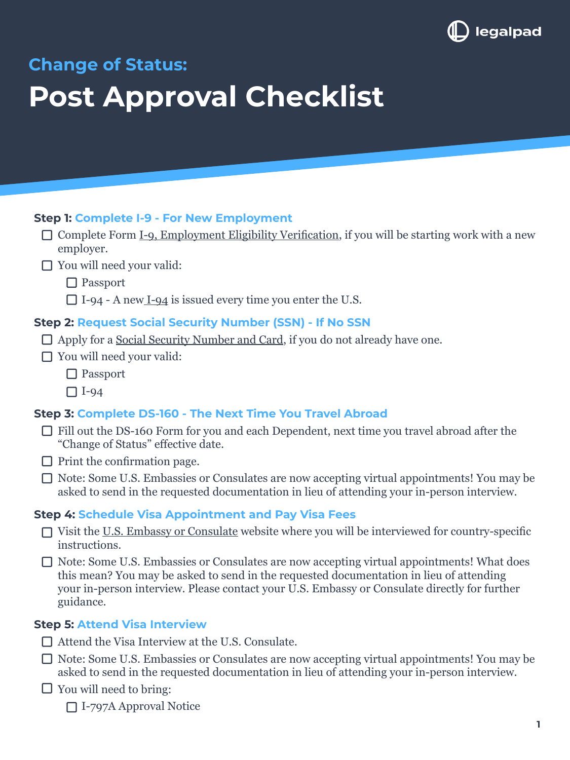

**Change of Status:** 

# **Post Approval Checklist**

#### **Step 1: Complete I-9 - For New Employment**

- $\Box$  Complete Form [I-9, Employment Eligibility Verification,](https://www.uscis.gov/i-9) if you will be starting work with a new employer.
- □ You will need your valid:

□ Passport

 $\Box$  [I-94](https://i94.cbp.dhs.gov/I94/#/home) - A new I-94 is issued every time you enter the U.S.

#### **Step 2: Request Social Security Number (SSN) - If No SSN**

- $\Box$  Apply for a [Social Security Number and Card](https://www.ssa.gov/ssnumber/), if you do not already have one.
- □ You will need your valid:
	- □ Passport

 $\Box$  I-94

#### **Step 3: Complete DS-160 - The Next Time You Travel Abroad**

- Fill out the [DS-160 Form](https://ceac.state.gov/genniv/) for you and each Dependent, next time you travel abroad after the "Change of Status" effective date.
- $\Box$  Print the confirmation page.
- □ Note: Some U.S. Embassies or Consulates are now accepting virtual appointments! You may be asked to send in the requested documentation in lieu of attending your in-person interview.

#### **Step 4: Schedule Visa Appointment and Pay Visa Fees**

- $\Box$  Visit the [U.S. Embassy or Consulate](https://www.usembassy.gov/) website where you will be interviewed for country-specific instructions.
- □ Note: Some U.S. Embassies or Consulates are now accepting virtual appointments! What does this mean? You may be asked to send in the requested documentation in lieu of attending your in-person interview. Please contact your U.S. Embassy or Consulate directly for further guidance.

#### **Step 5: Attend Visa Interview**

- $\Box$  Attend the Visa Interview at the U.S. Consulate.
- Note: Some U.S. Embassies or Consulates are now accepting virtual appointments! You may be asked to send in the requested documentation in lieu of attending your in-person interview.
- $\Box$  You will need to bring:

I-797A Approval Notice